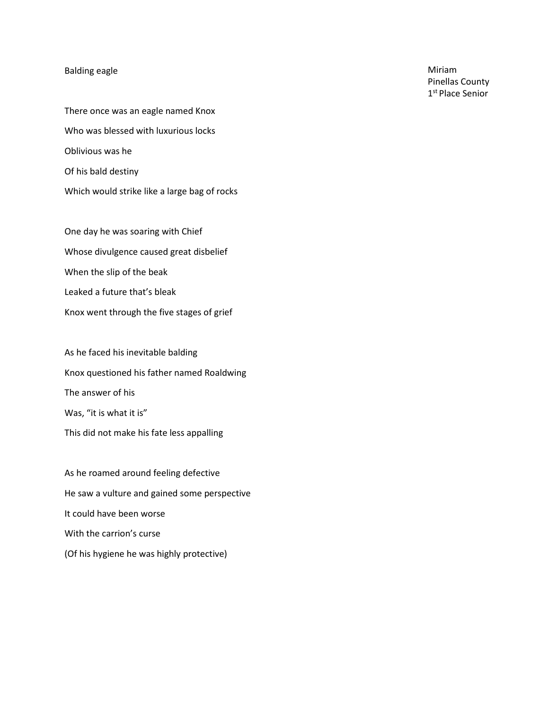## Balding eagle

There once was an eagle named Knox Who was blessed with luxurious locks Oblivious was he Of his bald destiny Which would strike like a large bag of rocks

One day he was soaring with Chief Whose divulgence caused great disbelief When the slip of the beak Leaked a future that's bleak Knox went through the five stages of grief

As he faced his inevitable balding Knox questioned his father named Roaldwing The answer of his Was, "it is what it is" This did not make his fate less appalling

As he roamed around feeling defective He saw a vulture and gained some perspective It could have been worse With the carrion's curse (Of his hygiene he was highly protective)

Miriam Pinellas County 1st Place Senior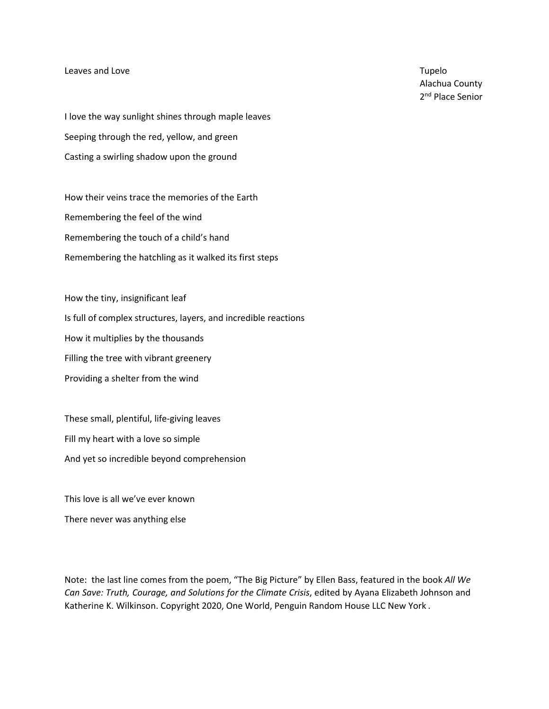## Leaves and Love **Tupelo** and Love **Tupelo** and Love **Tupelo** and Love **Tupelo** and Tupelo and Tupelo and Tupelo and Tupelo and Tupelo and Tupelo and Tupelo and Tupelo and Tupelo and Tupelo and Tupelo and Tupelo and Tupelo

Alachua County 2<sup>nd</sup> Place Senior

I love the way sunlight shines through maple leaves Seeping through the red, yellow, and green Casting a swirling shadow upon the ground

How their veins trace the memories of the Earth Remembering the feel of the wind Remembering the touch of a child's hand Remembering the hatchling as it walked its first steps

How the tiny, insignificant leaf Is full of complex structures, layers, and incredible reactions How it multiplies by the thousands Filling the tree with vibrant greenery Providing a shelter from the wind

These small, plentiful, life-giving leaves Fill my heart with a love so simple And yet so incredible beyond comprehension

This love is all we've ever known

There never was anything else

Note: the last line comes from the poem, "The Big Picture" by Ellen Bass, featured in the book *All We Can Save: Truth, Courage, and Solutions for the Climate Crisis*, edited by Ayana Elizabeth Johnson and Katherine K. Wilkinson. Copyright 2020, One World, Penguin Random House LLC New York *.*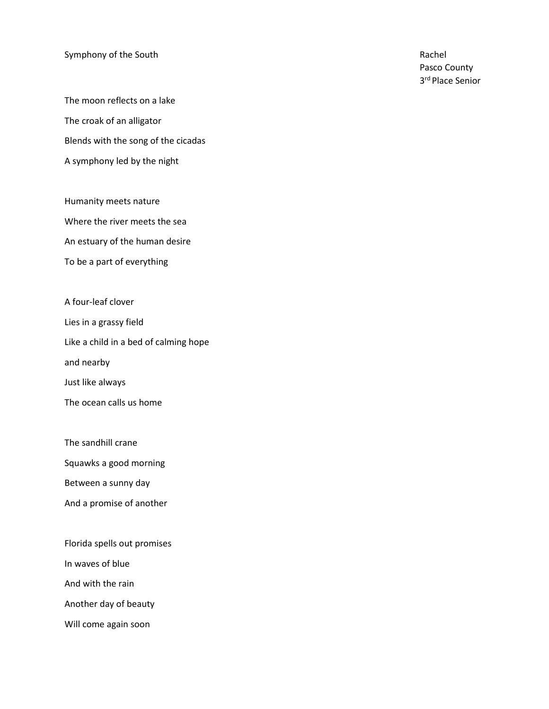## Symphony of the South Rachel Rachel Rachel Rachel Rachel Rachel Rachel Rachel Rachel Rachel Rachel Rachel Rachel Rachel Rachel Rachel Rachel Rachel Rachel Rachel Rachel Rachel Rachel Rachel Rachel Rachel Rachel Rachel Rach

The moon reflects on a lake The croak of an alligator Blends with the song of the cicadas A symphony led by the night

Humanity meets nature Where the river meets the sea An estuary of the human desire To be a part of everything

A four-leaf clover

Lies in a grassy field

Like a child in a bed of calming hope

and nearby

Just like always

The ocean calls us home

The sandhill crane

Squawks a good morning

Between a sunny day

And a promise of another

Florida spells out promises

In waves of blue

And with the rain

Another day of beauty

Will come again soon

Pasco County 3<sup>rd</sup> Place Senior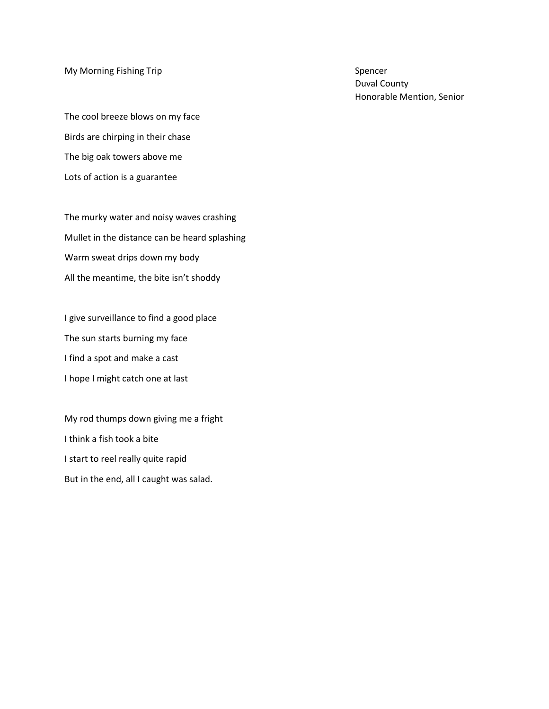My Morning Fishing Trip Spencer Spencer Spencer

The cool breeze blows on my face Birds are chirping in their chase The big oak towers above me Lots of action is a guarantee

The murky water and noisy waves crashing Mullet in the distance can be heard splashing Warm sweat drips down my body All the meantime, the bite isn't shoddy

I give surveillance to find a good place The sun starts burning my face I find a spot and make a cast I hope I might catch one at last

My rod thumps down giving me a fright I think a fish took a bite I start to reel really quite rapid But in the end, all I caught was salad.

Duval County Honorable Mention, Senior